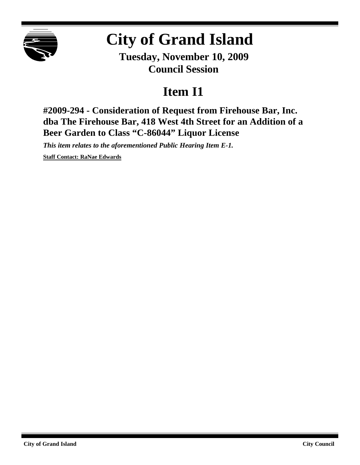

## **City of Grand Island**

**Tuesday, November 10, 2009 Council Session**

## **Item I1**

**#2009-294 - Consideration of Request from Firehouse Bar, Inc. dba The Firehouse Bar, 418 West 4th Street for an Addition of a Beer Garden to Class "C-86044" Liquor License**

*This item relates to the aforementioned Public Hearing Item E-1.*

**Staff Contact: RaNae Edwards**